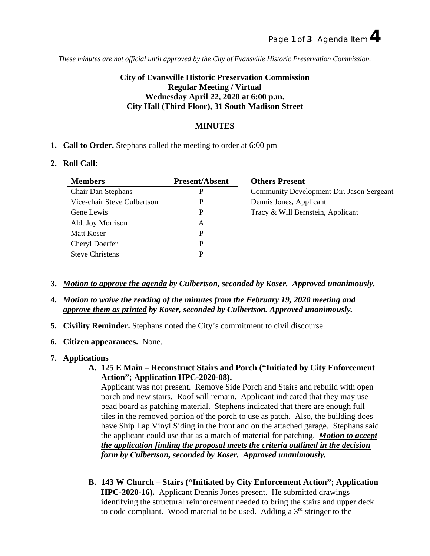*These minutes are not official until approved by the City of Evansville Historic Preservation Commission.*

# **City of Evansville Historic Preservation Commission Regular Meeting / Virtual Wednesday April 22, 2020 at 6:00 p.m. City Hall (Third Floor), 31 South Madison Street**

## **MINUTES**

**1. Call to Order.** Stephans called the meeting to order at 6:00 pm

#### **2. Roll Call:**

| Members                     | <b>Present/Absent</b> | <b>Others Present</b>                     |
|-----------------------------|-----------------------|-------------------------------------------|
| Chair Dan Stephans          |                       | Community Development Dir. Jason Sergeant |
| Vice-chair Steve Culbertson |                       | Dennis Jones, Applicant                   |
| Gene Lewis                  |                       | Tracy & Will Bernstein, Applicant         |
| Ald. Joy Morrison           |                       |                                           |
| Matt Koser                  |                       |                                           |
| Cheryl Doerfer              |                       |                                           |
| <b>Steve Christens</b>      |                       |                                           |
|                             |                       |                                           |

- **3.** *Motion to approve the agenda by Culbertson, seconded by Koser. Approved unanimously.*
- **4.** *Motion to waive the reading of the minutes from the February 19, 2020 meeting and approve them as printed by Koser, seconded by Culbertson. Approved unanimously.*
- **5. Civility Reminder.** Stephans noted the City's commitment to civil discourse.
- **6. Citizen appearances.** None.
- **7. Applications** 
	- **A. 125 E Main – Reconstruct Stairs and Porch ("Initiated by City Enforcement Action"; Application HPC-2020-08).**

Applicant was not present. Remove Side Porch and Stairs and rebuild with open porch and new stairs. Roof will remain. Applicant indicated that they may use bead board as patching material. Stephens indicated that there are enough full tiles in the removed portion of the porch to use as patch. Also, the building does have Ship Lap Vinyl Siding in the front and on the attached garage. Stephans said the applicant could use that as a match of material for patching. *Motion to accept the application finding the proposal meets the criteria outlined in the decision form by Culbertson, seconded by Koser. Approved unanimously.*

**B. 143 W Church – Stairs ("Initiated by City Enforcement Action"; Application HPC-2020-16).** Applicant Dennis Jones present. He submitted drawings identifying the structural reinforcement needed to bring the stairs and upper deck to code compliant. Wood material to be used. Adding a  $3<sup>rd</sup>$  stringer to the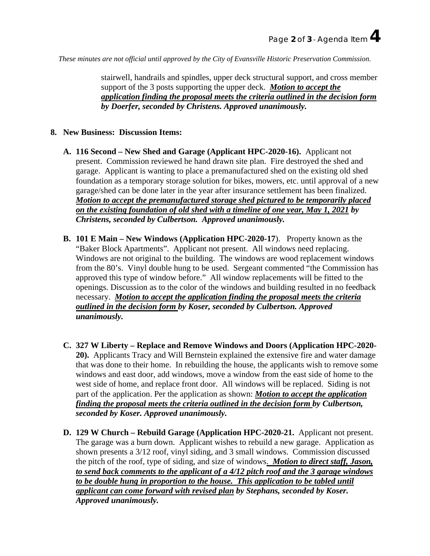*These minutes are not official until approved by the City of Evansville Historic Preservation Commission.*

stairwell, handrails and spindles, upper deck structural support, and cross member support of the 3 posts supporting the upper deck. *Motion to accept the application finding the proposal meets the criteria outlined in the decision form by Doerfer, seconded by Christens. Approved unanimously.*

## **8. New Business: Discussion Items:**

- **A. 116 Second – New Shed and Garage (Applicant HPC-2020-16).** Applicant not present. Commission reviewed he hand drawn site plan. Fire destroyed the shed and garage. Applicant is wanting to place a premanufactured shed on the existing old shed foundation as a temporary storage solution for bikes, mowers, etc. until approval of a new garage/shed can be done later in the year after insurance settlement has been finalized. *Motion to accept the premanufactured storage shed pictured to be temporarily placed on the existing foundation of old shed with a timeline of one year, May 1, 2021 by Christens, seconded by Culbertson. Approved unanimously.*
- **B. 101 E Main – New Windows (Application HPC-2020-17**). Property known as the "Baker Block Apartments".Applicant not present. All windows need replacing. Windows are not original to the building. The windows are wood replacement windows from the 80's. Vinyl double hung to be used. Sergeant commented "the Commission has approved this type of window before." All window replacements will be fitted to the openings. Discussion as to the color of the windows and building resulted in no feedback necessary. *Motion to accept the application finding the proposal meets the criteria outlined in the decision form by Koser, seconded by Culbertson. Approved unanimously.*
- **C. 327 W Liberty – Replace and Remove Windows and Doors (Application HPC-2020- 20).** Applicants Tracy and Will Bernstein explained the extensive fire and water damage that was done to their home. In rebuilding the house, the applicants wish to remove some windows and east door, add windows, move a window from the east side of home to the west side of home, and replace front door. All windows will be replaced. Siding is not part of the application. Per the application as shown: *Motion to accept the application finding the proposal meets the criteria outlined in the decision form by Culbertson, seconded by Koser. Approved unanimously.*
- **D. 129 W Church – Rebuild Garage (Application HPC-2020-21.** Applicant not present. The garage was a burn down. Applicant wishes to rebuild a new garage. Application as shown presents a 3/12 roof, vinyl siding, and 3 small windows. Commission discussed the pitch of the roof, type of siding, and size of windows. *Motion to direct staff, Jason, to send back comments to the applicant of a 4/12 pitch roof and the 3 garage windows to be double hung in proportion to the house. This application to be tabled until applicant can come forward with revised plan by Stephans, seconded by Koser. Approved unanimously.*